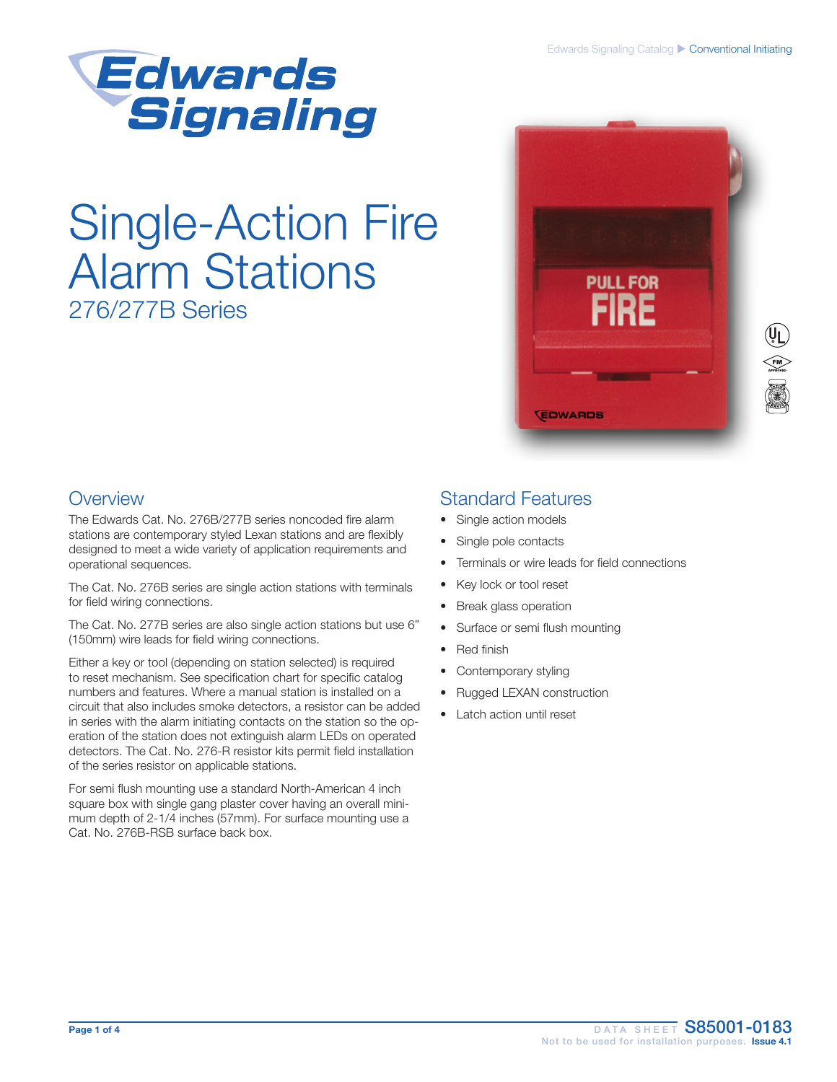

# Single-Action Fire Alarm Stations 276/277B Series



### **Overview**

The Edwards Cat. No. 276B/277B series noncoded fire alarm stations are contemporary styled Lexan stations and are flexibly designed to meet a wide variety of application requirements and operational sequences.

The Cat. No. 276B series are single action stations with terminals for field wiring connections.

The Cat. No. 277B series are also single action stations but use 6" (150mm) wire leads for field wiring connections.

Either a key or tool (depending on station selected) is required to reset mechanism. See specification chart for specific catalog numbers and features. Where a manual station is installed on a circuit that also includes smoke detectors, a resistor can be added in series with the alarm initiating contacts on the station so the operation of the station does not extinguish alarm LEDs on operated detectors. The Cat. No. 276-R resistor kits permit field installation of the series resistor on applicable stations.

For semi flush mounting use a standard North-American 4 inch square box with single gang plaster cover having an overall minimum depth of 2-1/4 inches (57mm). For surface mounting use a Cat. No. 276B-RSB surface back box.

### Standard Features

- Single action models
- Single pole contacts
- Terminals or wire leads for field connections
- Key lock or tool reset
- **Break glass operation**
- Surface or semi flush mounting
- Red finish
- Contemporary styling
- Rugged LEXAN construction
- Latch action until reset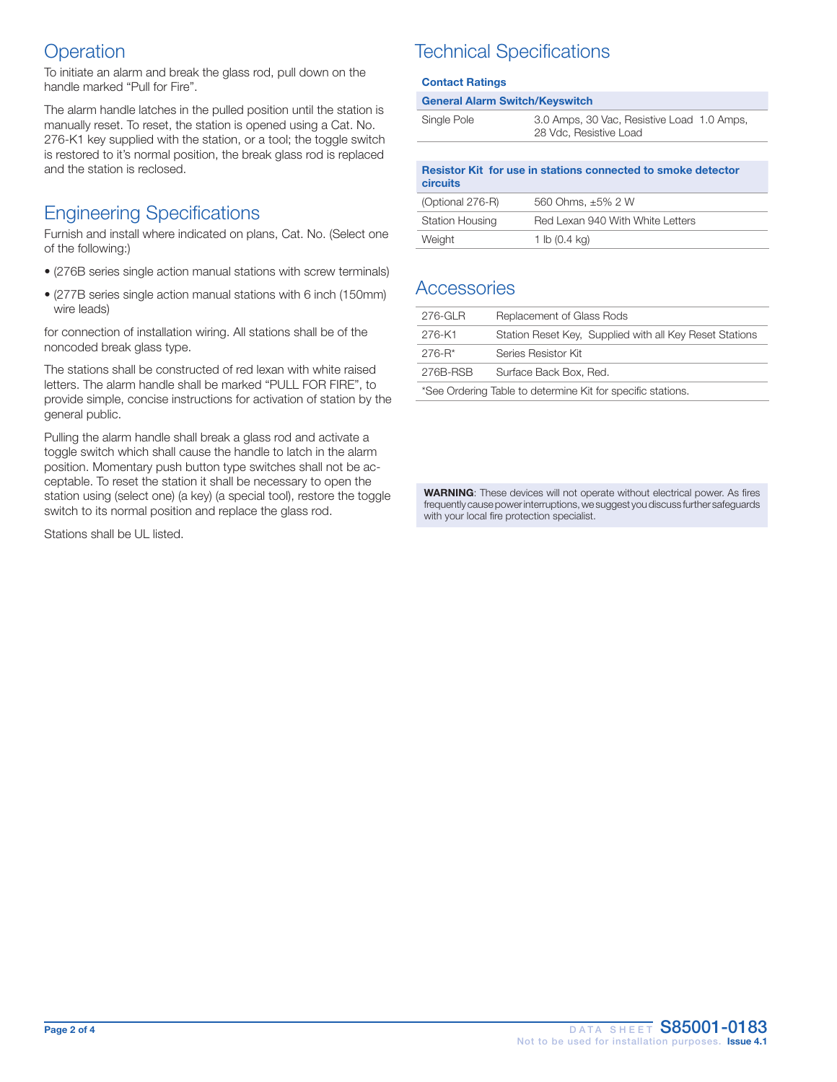### **Operation**

To initiate an alarm and break the glass rod, pull down on the handle marked "Pull for Fire".

The alarm handle latches in the pulled position until the station is manually reset. To reset, the station is opened using a Cat. No. 276-K1 key supplied with the station, or a tool; the toggle switch is restored to it's normal position, the break glass rod is replaced and the station is reclosed.

## Engineering Specifications

Furnish and install where indicated on plans, Cat. No. (Select one of the following:)

- (276B series single action manual stations with screw terminals)
- (277B series single action manual stations with 6 inch (150mm) wire leads)

for connection of installation wiring. All stations shall be of the noncoded break glass type.

The stations shall be constructed of red lexan with white raised letters. The alarm handle shall be marked "PULL FOR FIRE", to provide simple, concise instructions for activation of station by the general public.

Pulling the alarm handle shall break a glass rod and activate a toggle switch which shall cause the handle to latch in the alarm position. Momentary push button type switches shall not be acceptable. To reset the station it shall be necessary to open the station using (select one) (a key) (a special tool), restore the toggle switch to its normal position and replace the glass rod.

Stations shall be UL listed.

# Technical Specifications

#### Contact Ratings

#### General Alarm Switch/Keyswitch

| Single Pole | 3.0 Amps, 30 Vac, Resistive Load 1.0 Amps,<br>28 Vdc, Resistive Load |
|-------------|----------------------------------------------------------------------|
|             |                                                                      |

| Resistor Kit for use in stations connected to smoke detector<br>circuits |                                  |  |  |  |  |
|--------------------------------------------------------------------------|----------------------------------|--|--|--|--|
| (Optional 276-R)                                                         | 560 Ohms, ±5% 2 W                |  |  |  |  |
| <b>Station Housing</b>                                                   | Red Lexan 940 With White Letters |  |  |  |  |
| Weight                                                                   | 1 lb $(0.4 \text{ kg})$          |  |  |  |  |

### **Accessories**

| $276-GLR$                                                   | Replacement of Glass Rods                               |  |  |  |  |
|-------------------------------------------------------------|---------------------------------------------------------|--|--|--|--|
| 276-K1                                                      | Station Reset Key, Supplied with all Key Reset Stations |  |  |  |  |
| $276 - R^*$                                                 | Series Resistor Kit                                     |  |  |  |  |
| 276B-RSB                                                    | Surface Back Box, Red.                                  |  |  |  |  |
| *See Ordering Table to determine Kit for specific stations. |                                                         |  |  |  |  |

WARNING: These devices will not operate without electrical power. As fires frequently cause power interruptions, we suggest you discuss further safeguards with your local fire protection specialist.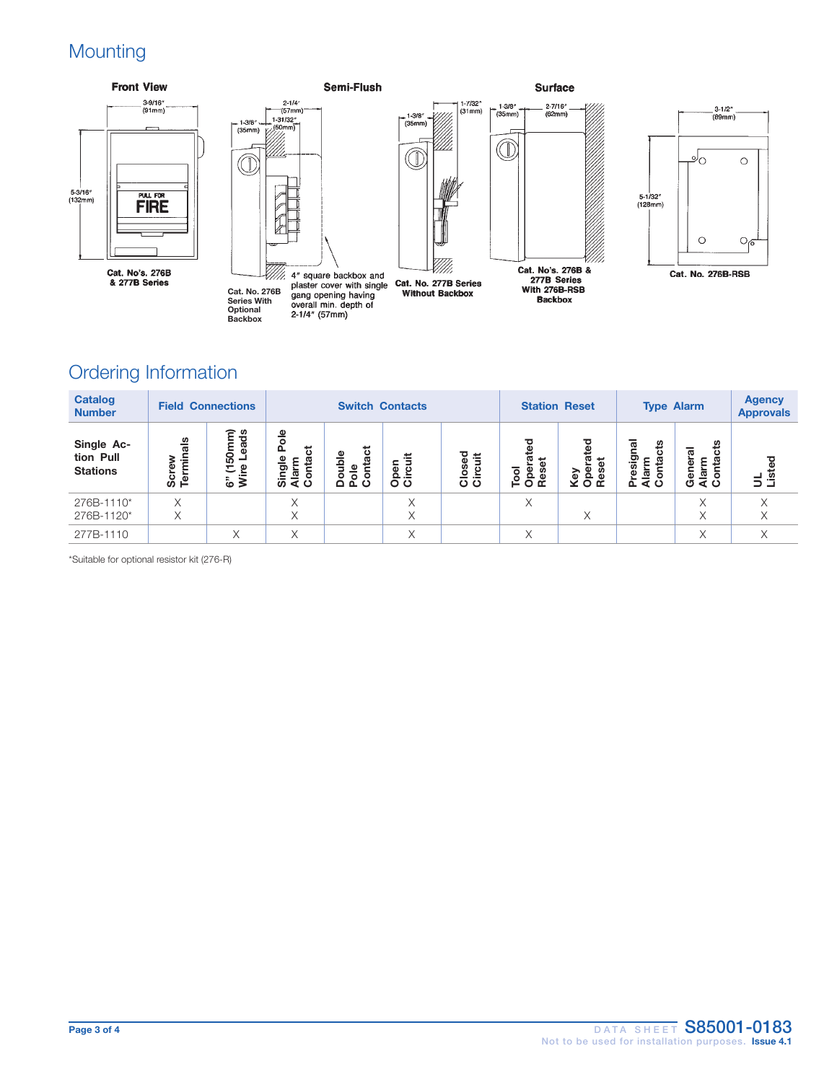# **Mounting**



## Ordering Information

| <b>Catalog</b><br><b>Number</b>            | <b>Field Connections</b>    |                                     | <b>Switch Contacts</b>           |                                      |                  | <b>Station Reset</b>      |                              | <b>Type Alarm</b>    |                                                 | <b>Agency</b><br><b>Approvals</b> |           |
|--------------------------------------------|-----------------------------|-------------------------------------|----------------------------------|--------------------------------------|------------------|---------------------------|------------------------------|----------------------|-------------------------------------------------|-----------------------------------|-----------|
| Single Ac-<br>tion Pull<br><b>Stations</b> | als<br>.≐<br>Screv<br>Termi | έ<br>ಕೆ<br>Ē<br>ēã<br>នី<br>ω<br>έē | 응<br>ಕ<br>S.<br>ಕಾ<br>န္ဟ န္မွ ၀ | ntact<br>۵ld<br>$\mathbf{o}$<br>ته ۵ | န<br><u>ဝိင်</u> | ठ<br>ä<br>Ф<br>o<br>Sirci | set<br>Tool<br>Opeis<br>Rese | set<br>Key<br>å<br>٥ | πal<br>cts<br><u>.ම</u><br>ς.<br>요<br>ဖာ<br>효효ㅇ | ី<br>त्त<br>요<br>호로<br>인수         | gg<br>로 공 |
| 276B-1110*<br>276B-1120*                   | X<br>X                      |                                     | $\checkmark$<br>ж                |                                      |                  |                           | X                            | X                    |                                                 | X                                 |           |
| 277B-1110                                  |                             | Χ                                   | Χ                                |                                      | X                |                           | X                            |                      |                                                 | X                                 | Χ         |

\*Suitable for optional resistor kit (276-R)